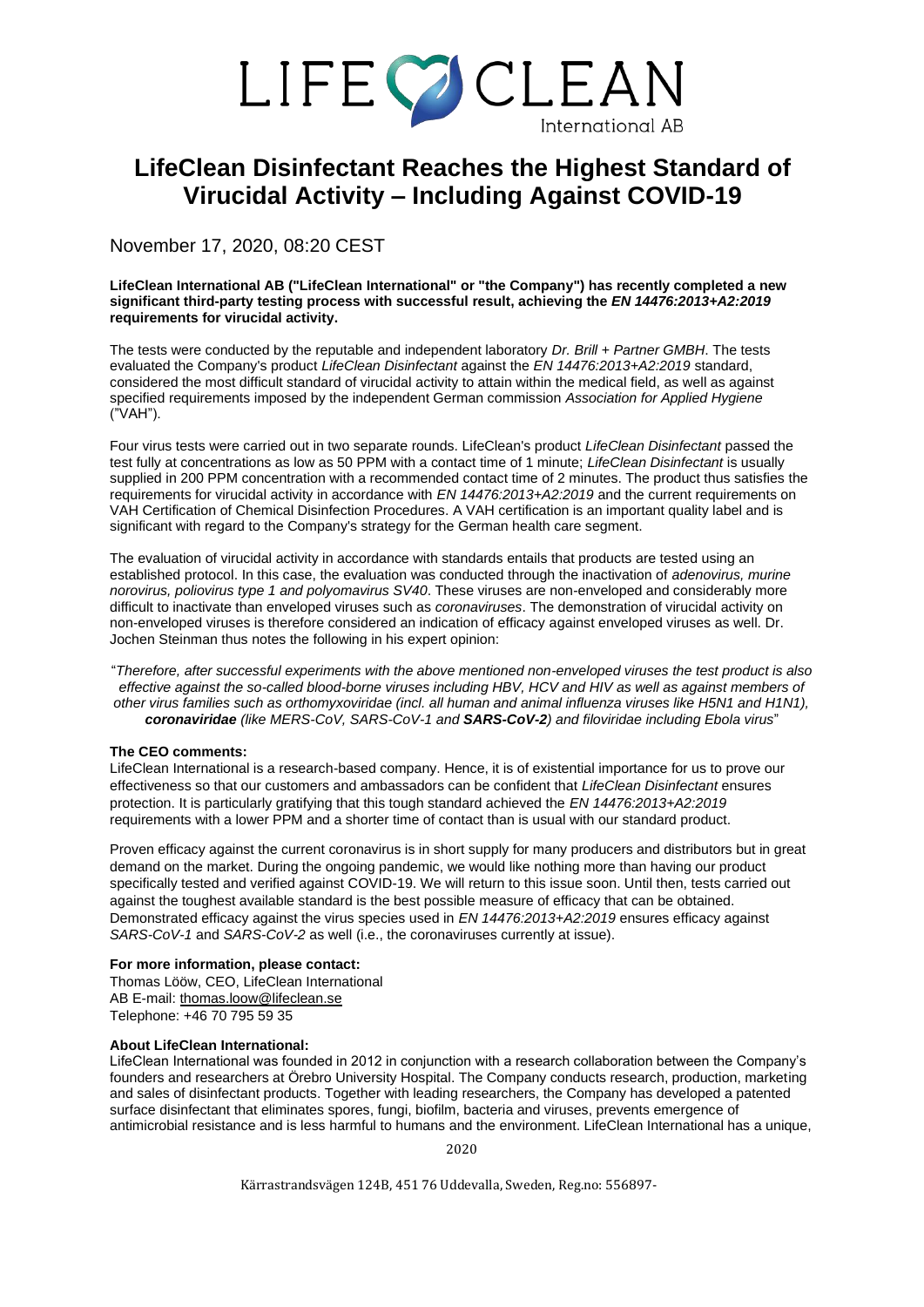# LIFECOCLEAN

## **LifeClean Disinfectant Reaches the Highest Standard of Virucidal Activity – Including Against COVID-19**

November 17, 2020, 08:20 CEST

#### **LifeClean International AB ("LifeClean International" or "the Company") has recently completed a new significant third-party testing process with successful result, achieving the** *EN 14476:2013+A2:2019* **requirements for virucidal activity.**

The tests were conducted by the reputable and independent laboratory *Dr. Brill + Partner GMBH*. The tests evaluated the Company's product *LifeClean Disinfectant* against the *EN 14476:2013+A2:2019* standard, considered the most difficult standard of virucidal activity to attain within the medical field, as well as against specified requirements imposed by the independent German commission *Association for Applied Hygiene*  ("VAH").

Four virus tests were carried out in two separate rounds. LifeClean's product *LifeClean Disinfectant* passed the test fully at concentrations as low as 50 PPM with a contact time of 1 minute; *LifeClean Disinfectant* is usually supplied in 200 PPM concentration with a recommended contact time of 2 minutes. The product thus satisfies the requirements for virucidal activity in accordance with *EN 14476:2013+A2:2019* and the current requirements on VAH Certification of Chemical Disinfection Procedures. A VAH certification is an important quality label and is significant with regard to the Company's strategy for the German health care segment.

The evaluation of virucidal activity in accordance with standards entails that products are tested using an established protocol. In this case, the evaluation was conducted through the inactivation of *adenovirus, murine norovirus, poliovirus type 1 and polyomavirus SV40*. These viruses are non-enveloped and considerably more difficult to inactivate than enveloped viruses such as *coronaviruses*. The demonstration of virucidal activity on non-enveloped viruses is therefore considered an indication of efficacy against enveloped viruses as well. Dr. Jochen Steinman thus notes the following in his expert opinion:

"*Therefore, after successful experiments with the above mentioned non-enveloped viruses the test product is also effective against the so-called blood-borne viruses including HBV, HCV and HIV as well as against members of other virus families such as orthomyxoviridae (incl. all human and animal influenza viruses like H5N1 and H1N1), coronaviridae (like MERS-CoV, SARS-CoV-1 and SARS-CoV-2) and filoviridae including Ebola virus*"

#### **The CEO comments:**

LifeClean International is a research-based company. Hence, it is of existential importance for us to prove our effectiveness so that our customers and ambassadors can be confident that *LifeClean Disinfectant* ensures protection. It is particularly gratifying that this tough standard achieved the *EN 14476:2013+A2:2019* requirements with a lower PPM and a shorter time of contact than is usual with our standard product.

Proven efficacy against the current coronavirus is in short supply for many producers and distributors but in great demand on the market. During the ongoing pandemic, we would like nothing more than having our product specifically tested and verified against COVID-19. We will return to this issue soon. Until then, tests carried out against the toughest available standard is the best possible measure of efficacy that can be obtained. Demonstrated efficacy against the virus species used in *EN 14476:2013+A2:2019* ensures efficacy against *SARS-CoV-1* and *SARS-CoV-2* as well (i.e., the coronaviruses currently at issue).

#### **For more information, please contact:**

Thomas Lööw, CEO, LifeClean International AB E-mail: [thomas.loow@lifeclean.se](mailto:thomas.loow@lifeclean.se) Telephone: +46 70 795 59 35

#### **About LifeClean International:**

LifeClean International was founded in 2012 in conjunction with a research collaboration between the Company's founders and researchers at Örebro University Hospital. The Company conducts research, production, marketing and sales of disinfectant products. Together with leading researchers, the Company has developed a patented surface disinfectant that eliminates spores, fungi, biofilm, bacteria and viruses, prevents emergence of antimicrobial resistance and is less harmful to humans and the environment. LifeClean International has a unique,

2020

Kärrastrandsvägen 124B, 451 76 Uddevalla, Sweden, Reg.no: 556897-